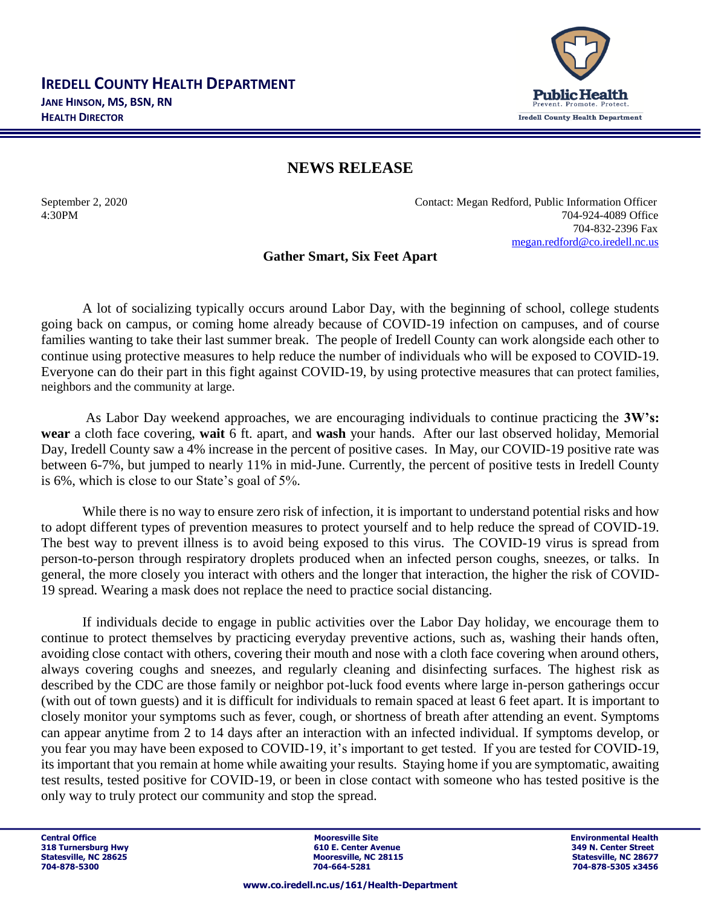

## **NEWS RELEASE**

September 2, 2020 Contact: Megan Redford, Public Information Officer 4:30PM 704-924-4089 Office 704-832-2396 Fax [megan.redford@co.iredell.nc.us](mailto:megan.redford@co.iredell.nc.us)

## **Gather Smart, Six Feet Apart**

A lot of socializing typically occurs around Labor Day, with the beginning of school, college students going back on campus, or coming home already because of COVID-19 infection on campuses, and of course families wanting to take their last summer break. The people of Iredell County can work alongside each other to continue using protective measures to help reduce the number of individuals who will be exposed to COVID-19. Everyone can do their part in this fight against COVID-19, by using protective measures that can protect families, neighbors and the community at large.

As Labor Day weekend approaches, we are encouraging individuals to continue practicing the **3W's: wear** a cloth face covering, **wait** 6 ft. apart, and **wash** your hands. After our last observed holiday, Memorial Day, Iredell County saw a 4% increase in the percent of positive cases. In May, our COVID-19 positive rate was between 6-7%, but jumped to nearly 11% in mid-June. Currently, the percent of positive tests in Iredell County is 6%, which is close to our State's goal of 5%.

While there is no way to ensure zero risk of infection, it is important to understand potential risks and how to adopt different types of prevention measures to protect yourself and to help reduce the spread of COVID-19. The best way to prevent illness is to avoid being exposed to this virus. The COVID-19 virus is spread from person-to-person through respiratory droplets produced when an infected person coughs, sneezes, or talks. In general, the more closely you interact with others and the longer that interaction, the higher the risk of COVID-19 spread. Wearing a mask does not replace the need to practice social distancing.

If individuals decide to engage in public activities over the Labor Day holiday, we encourage them to continue to protect themselves by practicing everyday preventive actions, such as, washing their hands often, avoiding close contact with others, covering their mouth and nose with a cloth face covering when around others, always covering coughs and sneezes, and regularly cleaning and disinfecting surfaces. The highest risk as described by the CDC are those family or neighbor pot-luck food events where large in-person gatherings occur (with out of town guests) and it is difficult for individuals to remain spaced at least 6 feet apart. It is important to closely monitor your symptoms such as fever, cough, or shortness of breath after attending an event. Symptoms can appear anytime from 2 to 14 days after an interaction with an infected individual. If symptoms develop, or you fear you may have been exposed to COVID-19, it's important to get tested. If you are tested for COVID-19, its important that you remain at home while awaiting your results. Staying home if you are symptomatic, awaiting test results, tested positive for COVID-19, or been in close contact with someone who has tested positive is the only way to truly protect our community and stop the spread.

**Central Office Mooresville Site Environmental Health 318 Turnersburg Hwy 610 E. Center Avenue 318 Turnersburg Hwy 610 E. Center Avenue 349 Nooresville. NC 28115 Mooresville, NC 28115 Mooresville, NC 28677**<br> **Statesville, NC 28115**<br> **Statesville, NC 28677 704-878-5300 704-664-5281 704-878-5305 x3456**